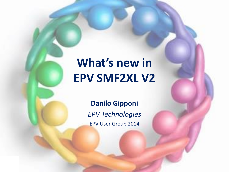## **What's new in EPV SMF2XL V2**

**Danilo Gipponi** *EPV Technologies* EPV User Group 2014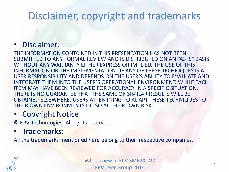#### Disclaimer, copyright and trademarks

#### • Disclaimer:

THE INFORMATION CONTAINED IN THIS PRESENTATION HAS NOT BEEN SUBMITTED TO ANY FORMAL REVIEW AND IS DISTRIBUTED ON AN "AS IS" BASIS WITHOUT ANY WARRANTY EITHER EXPRESS OR IMPLIED. THE USE OF THIS INFORMATION OR THE IMPLEMENTATION OF ANY OF THESE TECHNIQUES IS A USER RESPONSIBILITY AND DEPENDS ON THE USER'S ABILITY TO EVALUATE AND INTEGRATE THEM INTO THE USER'S OPERATIONAL ENVIRONMENT. WHILE EACH ITEM MAY HAVE BEEN REVIEWED FOR ACCURACY IN A SPECIFIC SITUATION, THERE IS NO GUARANTEE THAT THE SAME OR SIMILAR RESULTS WILL BE OBTAINED ELSEWHERE. USERS ATTEMPTING TO ADAPT THESE TECHNIQUES TO THEIR OWN ENVIRONMENTS DO SO AT THEIR OWN RISK.

#### • Copyright Notice:

© EPV Technologies. All rights reserved.

#### • Trademarks:

All the trademarks mentioned here belong to their respective companies.

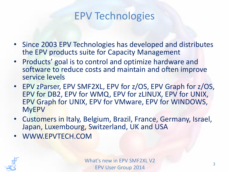#### EPV Technologies

- Since 2003 EPV Technologies has developed and distributes the EPV products suite for Capacity Management
- Products' goal is to control and optimize hardware and software to reduce costs and maintain and often improve service levels
- EPV zParser, EPV SMF2XL, EPV for z/OS, EPV Graph for z/OS, EPV for DB2, EPV for WMQ, EPV for zLINUX, EPV for UNIX, EPV Graph for UNIX, EPV for VMware, EPV for WINDOWS, MyEPV
- Customers in Italy, Belgium, Brazil, France, Germany, Israel, Japan, Luxembourg, Switzerland, UK and USA
- WWW.EPVTECH.COM

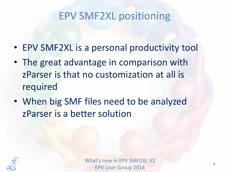#### EPV SMF2XL positioning

- EPV SMF2XL is a personal productivity tool
- The great advantage in comparison with zParser is that no customization at all is required
- When big SMF files need to be analyzed zParser is a better solution

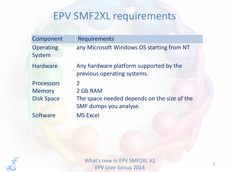## EPV SMF2XL requirements

| Component           | Requirements                                                          |
|---------------------|-----------------------------------------------------------------------|
| Operating<br>System | any Microsoft Windows OS starting from NT                             |
| <b>Hardware</b>     | Any hardware platform supported by the<br>previous operating systems. |
| Processors          | $\overline{2}$                                                        |
| <b>Memory</b>       | 2 Gb RAM                                                              |
| <b>Disk Space</b>   | The space needed depends on the size of the<br>SMF dumps you analyse. |
| Software            | <b>MS Excel</b>                                                       |

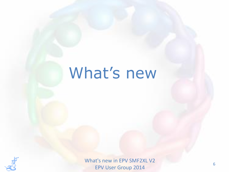# What's new

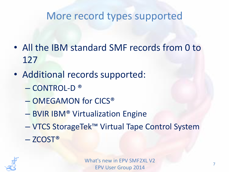#### More record types supported

- All the IBM standard SMF records from 0 to 127
- Additional records supported:
	- CONTROL-D ®
	- OMEGAMON for CICS®
	- BVIR IBM® Virtualization Engine
	- VTCS StorageTek™ Virtual Tape Control System
	- ZCOST®

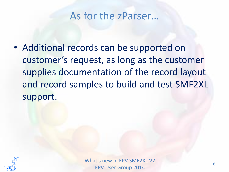#### As for the zParser…

• Additional records can be supported on customer's request, as long as the customer supplies documentation of the record layout and record samples to build and test SMF2XL support.

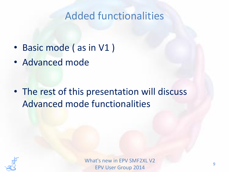#### Added functionalities

- Basic mode ( as in V1 )
- Advanced mode

• The rest of this presentation will discuss Advanced mode functionalities

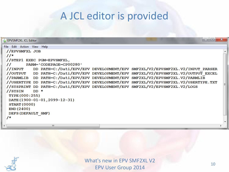## A JCL editor is provided

| EPVSMF2XL JCL Editor                                                                   |  |
|----------------------------------------------------------------------------------------|--|
| File Edit Action View Help                                                             |  |
| //EPVSMFXL JOB                                                                         |  |
| $11*$                                                                                  |  |
| //STEP1 EXEC PGM=EPVSMFXL,                                                             |  |
| PARM='CODEPAGE=CP00280'<br>77                                                          |  |
| //INPUT DD PATH=C:/Dati/EPV/EPV DEVELOPMENT/EPV SMF2XL/V2/EPVSMF2XL.V2/INPUT PARSER    |  |
| //OUTPUT DD PATH=C:/Dati/EPV/EPV DEVELOPMENT/EPV SMF2XL/V2/EPVSMF2XL.V2/OUTPUT EXCEL   |  |
| //PARMLIB DD PATH=C:/Dati/EPV/EPV DEVELOPMENT/EPV SMF2XL/V2/EPVSMF2XL.V2/PARMLIB       |  |
| //USERTYPE DD PATH=C:/Dati/EPV/EPV DEVELOPMENT/EPV SMF2XL/V2/EPVSMF2XL.V2/USERTYPE.TXT |  |
| //SYSPRINT DD PATH=C:/Dati/EPV/EPV DEVELOPMENT/EPV SMF2XL/V2/EPVSMF2XL.V2/LOGS         |  |
| //SYSIN<br>$DD$ *                                                                      |  |
| <b>TYPE (000:255)</b>                                                                  |  |
| DATE (1900-01-01, 2099-12-31)                                                          |  |
| <b>START (0000)</b>                                                                    |  |
| END (2400)                                                                             |  |
| DEFS (DEFAULT SMF)                                                                     |  |
| /*                                                                                     |  |
|                                                                                        |  |
| m.                                                                                     |  |

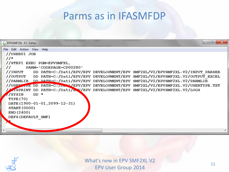#### Parms as in IFASMFDP

| EPVSMF2XL JCL Editor                                                                    |  |
|-----------------------------------------------------------------------------------------|--|
| File Edit Action View Help                                                              |  |
| //USER01 JOB                                                                            |  |
| $11*$                                                                                   |  |
| //STEP1 EXEC PGM=EPVSMFXL,                                                              |  |
| PARM='CODEPAGE=CP00280'<br>77                                                           |  |
| //INPUT DD PATH=C:/Dati/EPV/EPV DEVELOPMENT/EPV SMF2XL/V2/EPVSMF2XL.V2/INPUT PARSER     |  |
| //OUTPUT DD PATH=C:/Dati/EPV/EPV DEVELOPMENT/EPV SMF2XL/V2/EPVSMF2XL.V2/OUTPUT EXCEL    |  |
| //PARMLIB DD PATH=C:/Dati/EPV/EPV DEVELOPMENT/EPV SMF2XL/V2/EPVSMF2XL.V2/PARMLIB        |  |
| //USEPPARE DD PATH=C:/bas (EPV/EPV DEVELOPMENT/EPV SMF2XL/V2/EPVSMF2XL.V2/USERTYPE.TXT) |  |
| // YSPRINT DD PATH=C:/Dati/EXV/EPV DEVELOPMENT/EPV SMF2XL/V2/EPVSMF2XL.V2/LOGS          |  |
| //SYSIN<br>$DD$ *                                                                       |  |
| <b>TYPE (70)</b>                                                                        |  |
| DATE (1900-01-01, 2099-12-31)                                                           |  |
| <b>START (0000)</b>                                                                     |  |
| END (2400)                                                                              |  |
| DEFS (DEFAULT SMF)                                                                      |  |
|                                                                                         |  |
|                                                                                         |  |
|                                                                                         |  |

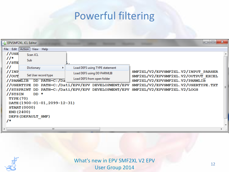## Powerful filtering

|            | o.<br>EPVSMF2XL JCL Editor                            |  |                                                              |  |                                                          |  |                                                                                                                       |  |
|------------|-------------------------------------------------------|--|--------------------------------------------------------------|--|----------------------------------------------------------|--|-----------------------------------------------------------------------------------------------------------------------|--|
|            | File Edit                                             |  | Action View Help                                             |  |                                                          |  |                                                                                                                       |  |
|            | // <sub>USE</sub><br>$11*$<br>$//$ STE                |  | Scan JCL<br>Sub                                              |  |                                                          |  |                                                                                                                       |  |
|            | 77                                                    |  | Dictionary                                                   |  | Load DEFS using TYPE statement                           |  |                                                                                                                       |  |
|            | //INP<br>1/00T<br>//PARMLIB                           |  | Set User record type<br>$DD$ PATH=C:/Da                      |  | Load DEFS using DD PARMLIB<br>Load DEFS from open folder |  | SMF2XL/V2/EPVSMF2XL.V2/INPUT PARSER<br>SMF2XL/V2/EPVSMF2XL.V2/OUTPUT EXCEL<br>SMF2XL/V2/EPVSMF2XL.V2/PARMLIB          |  |
|            | //SYSIN                                               |  | //USERTYPE DD PATH=C:/Dati/EPV/EPV DEVELOPMENT/EPV<br>$DD$ * |  |                                                          |  | SMF2XL/V2/EPVSMF2XL.V2/USERTYPE.TXT<br>//SYSPRINT DD PATH=C:/Dati/EPV/EPV DEVELOPMENT/EPV SMF2XL/V2/EPVSMF2XL.V2/LOGS |  |
|            | <b>TYPE (70)</b><br><b>START (0000)</b><br>END (2400) |  | DATE (1900-01-01, 2099-12-31)<br>DEFS (DEFAULT SMF)          |  |                                                          |  |                                                                                                                       |  |
|            | 7*                                                    |  |                                                              |  |                                                          |  |                                                                                                                       |  |
| $\epsilon$ |                                                       |  | m.                                                           |  |                                                          |  |                                                                                                                       |  |

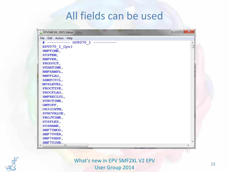#### All fields can be used

| EPVSMF2XL DEFS Editor |   |
|-----------------------|---|
| File Edit Action Help |   |
| # ---------- OUT070 1 |   |
| EPV070 1 Cpu (        |   |
| SMFTIME,              |   |
| SYSTEM,               |   |
| RMFVER,               |   |
| PRODUCT,              |   |
| STARTIME,             |   |
| RMFSAMPL,             |   |
| RMFFLAG,              |   |
| SAMPCYCL,             |   |
| <b>MVSLEVEL,</b>      |   |
| PROCTYPE,             |   |
| PROCFLAG,             |   |
| SMFRECLVL,            |   |
| SYNCTIME,             |   |
| GMTOFF,               |   |
| ORIGINTM,             |   |
| SYNCVALUE,            |   |
| PROJTIME,             |   |
| SYSPLEX,              |   |
| SYSNAME,              |   |
| SMF70MOD,             |   |
| SMF70VER,             |   |
| SMF70BNP,             |   |
| SMF70INB.             |   |
| m.                    | Þ |

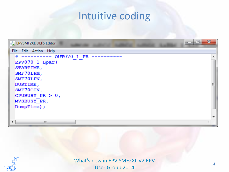## Intuitive coding

| $\vert - \vert$ 0<br><b>EPVSMF2XL DEFS Editor</b> | $\mathbf{x}$ |
|---------------------------------------------------|--------------|
| File Edit Action Help                             |              |
| --------- OUT070 1 PR                             |              |
| EPV070 1 Lpar (                                   |              |
| STARTIME,                                         |              |
| SMF70LPM,                                         |              |
| SMF70LPN,                                         |              |
| DURTIME,                                          | 티            |
| SMF70CIN,                                         |              |
| CPUBUSY PR $> 0$ ,                                |              |
| <b>MVSBUSY PR,</b>                                |              |
| DumpTime);                                        |              |
|                                                   |              |
|                                                   |              |
| m.<br>∢                                           | 111          |

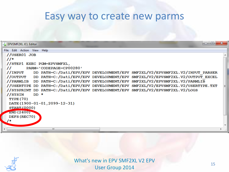#### Easy way to create new parms

| EPVSMF2XL JCL Editor                                                                   |  |
|----------------------------------------------------------------------------------------|--|
| File Edit Action View Help                                                             |  |
| //USER01 JOB                                                                           |  |
| $11*$                                                                                  |  |
| //STEP1 EXEC PGM=EPVSMFXL,                                                             |  |
| PARM='CODEPAGE=CP00280'<br>77                                                          |  |
| //INPUT DD PATH=C:/Dati/EPV/EPV DEVELOPMENT/EPV SMF2XL/V2/EPVSMF2XL.V2/INPUT PARSER    |  |
| //OUTPUT DD PATH=C:/Dati/EPV/EPV DEVELOPMENT/EPV SMF2XL/V2/EPVSMF2XL.V2/OUTPUT EXCEL   |  |
| //PARMLIB DD PATH=C:/Dati/EPV/EPV DEVELOPMENT/EPV SMF2XL/V2/EPVSMF2XL.V2/PARMLIB       |  |
| //USERTYPE DD PATH=C:/Dati/EPV/EPV DEVELOPMENT/EPV SMF2XL/V2/EPVSMF2XL.V2/USERTYPE.TXT |  |
| //SYSPRINT DD PATH=C:/Dati/EPV/EPV DEVELOPMENT/EPV SMF2XL/V2/EPVSMF2XL.V2/LOGS         |  |
| //SYSIN<br>$DD$ *                                                                      |  |
| <b>TYPE (70)</b>                                                                       |  |
| DATE (1900-01-01, 2099-12-31)                                                          |  |
| <b>START (0000)</b>                                                                    |  |
| EMD(2400)                                                                              |  |
| DEFS (REC70)                                                                           |  |
| 7*                                                                                     |  |
|                                                                                        |  |
| m.                                                                                     |  |

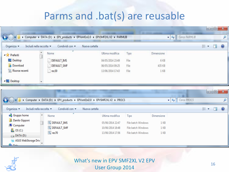#### Parms and .bat(s) are reusable



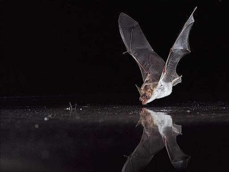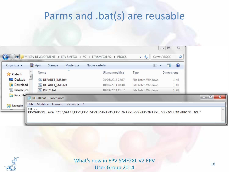#### Parms and .bat(s) are reusable

| Organizza v             | « EPV DEVELOPMENT > EPV SMF2XL > V2 > EPVSMF2XL.V2 > PROCS<br>同 Apri<br>Stampa<br>Masterizza                                      | Nuova cartella   | ÷۱<br>$+$<br>睚<br>v | Cerca PROCS<br>ρ<br>Q |         |
|-------------------------|-----------------------------------------------------------------------------------------------------------------------------------|------------------|---------------------|-----------------------|---------|
| <b>X</b> Preferiti<br>E | ×.<br>Nome                                                                                                                        | Ultima modifica  | Tipo                | Dimensione            |         |
| <b>Desktop</b>          | S DEFAULT_IMS.bat                                                                                                                 | 05/06/2014 22:47 | File batch Windows  | 1 KB                  |         |
| <b>Download</b>         | S DEFAULT_SMF.bat                                                                                                                 | 10/06/2014 18:48 | File batch Windows  | 1 KB                  |         |
| Risorse rec             | REC70.bat                                                                                                                         | 18/09/2014 11:57 | File batch Windows  | 1 <sub>KB</sub>       |         |
| Raccolte<br>a           | REC70.bat - Blocco note                                                                                                           |                  |                     |                       | G.<br>o |
| Raccolte<br>CD          | File Modifica Formato Visualizza<br>-?<br>EPVSMF2XL.exe "C:\Dati\EPV\EPV DEVELOPMENT\EPV SMF2XL\V2\EPVSMF2XL.V2\JCLLIB\REC70.JCL" |                  |                     |                       |         |

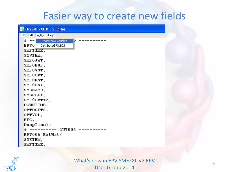#### Easier way to create new fields

| <b>ER EPVSMF2XL DEFS Editor</b>                        |  |  |  |  |
|--------------------------------------------------------|--|--|--|--|
| File Edit Action Help                                  |  |  |  |  |
| D<br>$\#$ $-$ Create new Variable                      |  |  |  |  |
| $EPU0$ Distributed FILEDS                              |  |  |  |  |
| $\operatorname{SMFT}\overline{\textbf{M}\textbf{E}}$ , |  |  |  |  |
| SYSTEM,                                                |  |  |  |  |
| SMF0JWT,                                               |  |  |  |  |
| SMF0BUF,                                               |  |  |  |  |
| SMF0VST,                                               |  |  |  |  |
| SMF0OPT,                                               |  |  |  |  |
| SMF0RST,                                               |  |  |  |  |
| SMF00SL,                                               |  |  |  |  |
| SYSNAME,                                               |  |  |  |  |
| SYSPLEX,                                               |  |  |  |  |
| SMF0CVTTZ,                                             |  |  |  |  |
| DOWNT IME,                                             |  |  |  |  |
| OPTDSETS,                                              |  |  |  |  |
| OPTVOL,                                                |  |  |  |  |
| REC,                                                   |  |  |  |  |
| $DumpTime$ );                                          |  |  |  |  |
| # ---------- OUT006 -----                              |  |  |  |  |
| EPV006 ExtWrt(                                         |  |  |  |  |
| SYSTEM,                                                |  |  |  |  |
| SMFT IME ,                                             |  |  |  |  |

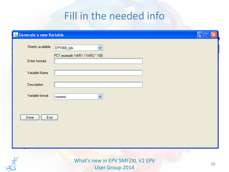#### Fill in the needed info

| <b>Generate a new Variable</b> |                                |
|--------------------------------|--------------------------------|
| Sheets available               | EPV000_lpls<br>v               |
| Enter formula:                 | PCT example: VAR1 / VAR2 * 100 |
| Variable Name                  |                                |
| Description                    |                                |
| Variable format                | v<br>numeric                   |
| End<br>Done                    |                                |

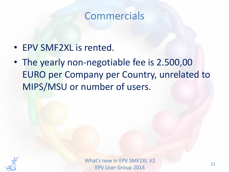#### **Commercials**

- EPV SMF2XL is rented.
- The yearly non-negotiable fee is 2.500,00 EURO per Company per Country, unrelated to MIPS/MSU or number of users.